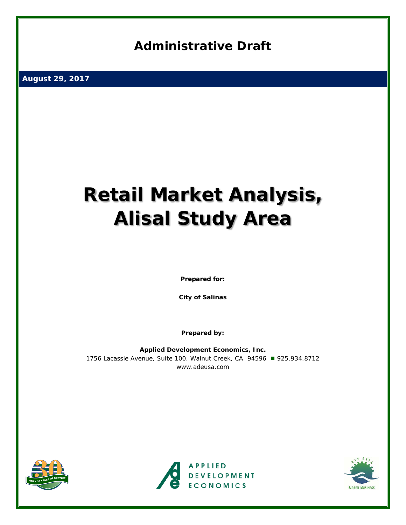## **Administrative Draft**

**August 29, 2017** 

# **Retail Market Analysis, Alisal Study Area**

*Prepared for:*

**City of Salinas**

*Prepared by:*

**Applied Development Economics, Inc.**  1756 Lacassie Avenue, Suite 100, Walnut Creek, CA 94596 ■ 925.934.8712 [www.adeusa.com](http://www.adeusa.com/)





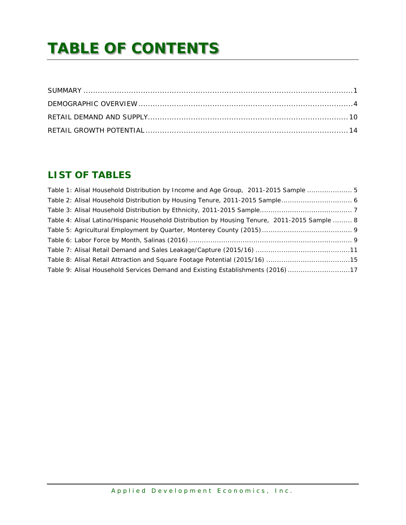## **TABLE OF CONTENTS**

## **LIST OF TABLES**

| Table 1: Alisal Household Distribution by Income and Age Group, 2011-2015 Sample  5           |  |
|-----------------------------------------------------------------------------------------------|--|
|                                                                                               |  |
|                                                                                               |  |
| Table 4: Alisal Latino/Hispanic Household Distribution by Housing Tenure, 2011-2015 Sample  8 |  |
|                                                                                               |  |
|                                                                                               |  |
|                                                                                               |  |
|                                                                                               |  |
| Table 9: Alisal Household Services Demand and Existing Establishments (2016) 17               |  |
|                                                                                               |  |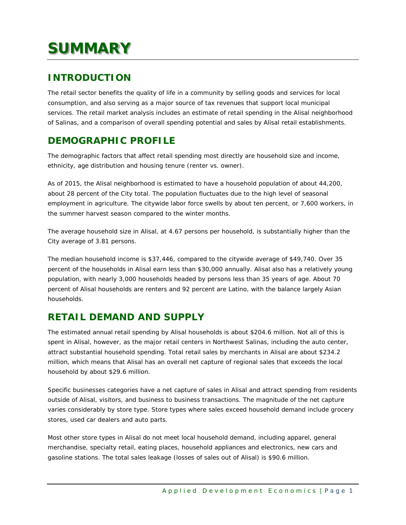## <span id="page-3-0"></span>**SUMMARY**

## **INTRODUCTION**

The retail sector benefits the quality of life in a community by selling goods and services for local consumption, and also serving as a major source of tax revenues that support local municipal services. The retail market analysis includes an estimate of retail spending in the Alisal neighborhood of Salinas, and a comparison of overall spending potential and sales by Alisal retail establishments.

## **DEMOGRAPHIC PROFILE**

The demographic factors that affect retail spending most directly are household size and income, ethnicity, age distribution and housing tenure (renter vs. owner).

As of 2015, the Alisal neighborhood is estimated to have a household population of about 44,200, about 28 percent of the City total. The population fluctuates due to the high level of seasonal employment in agriculture. The citywide labor force swells by about ten percent, or 7,600 workers, in the summer harvest season compared to the winter months.

The average household size in Alisal, at 4.67 persons per household, is substantially higher than the City average of 3.81 persons.

The median household income is \$37,446, compared to the citywide average of \$49,740. Over 35 percent of the households in Alisal earn less than \$30,000 annually. Alisal also has a relatively young population, with nearly 3,000 households headed by persons less than 35 years of age. About 70 percent of Alisal households are renters and 92 percent are Latino, with the balance largely Asian households.

## **RETAIL DEMAND AND SUPPLY**

The estimated annual retail spending by Alisal households is about \$204.6 million. Not all of this is spent in Alisal, however, as the major retail centers in Northwest Salinas, including the auto center, attract substantial household spending. Total retail sales by merchants in Alisal are about \$234.2 million, which means that Alisal has an overall net capture of regional sales that exceeds the local household by about \$29.6 million.

Specific businesses categories have a net capture of sales in Alisal and attract spending from residents outside of Alisal, visitors, and business to business transactions. The magnitude of the net capture varies considerably by store type. Store types where sales exceed household demand include grocery stores, used car dealers and auto parts.

Most other store types in Alisal do not meet local household demand, including apparel, general merchandise, specialty retail, eating places, household appliances and electronics, new cars and gasoline stations. The total sales leakage (losses of sales out of Alisal) is \$90.6 million.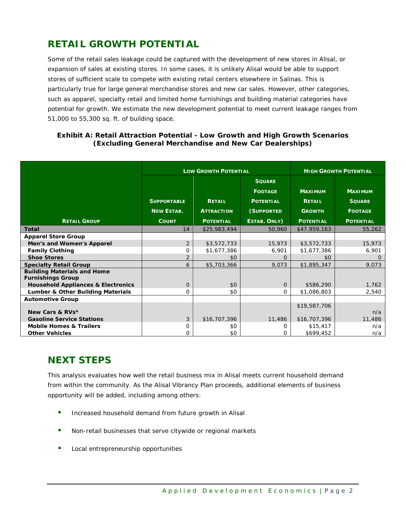## **RETAIL GROWTH POTENTIAL**

Some of the retail sales leakage could be captured with the development of new stores in Alisal, or expansion of sales at existing stores. In some cases, it is unlikely Alisal would be able to support stores of sufficient scale to compete with existing retail centers elsewhere in Salinas. This is particularly true for large general merchandise stores and new car sales. However, other categories, such as apparel, specialty retail and limited home furnishings and building material categories have potential for growth. We estimate the new development potential to meet current leakage ranges from 51,000 to 55,300 sq. ft. of building space.

#### **Exhibit A: Retail Attraction Potential - Low Growth and High Growth Scenarios (Excluding General Merchandise and New Car Dealerships)**

|                                                                |                    | <b>LOW GROWTH POTENTIAL</b> | <b>HIGH GROWTH POTENTIAL</b> |                  |                  |
|----------------------------------------------------------------|--------------------|-----------------------------|------------------------------|------------------|------------------|
|                                                                |                    |                             | <b>SOUARE</b>                |                  |                  |
|                                                                |                    |                             | <b>FOOTAGE</b>               | <b>MAXIMUM</b>   | <b>MAXIMUM</b>   |
|                                                                | <b>SUPPORTABLE</b> | <b>RETAIL</b>               | <b>POTENTIAL</b>             | <b>RETAIL</b>    | <b>SQUARE</b>    |
|                                                                | <b>NEW ESTAB.</b>  | <b>ATTRACTION</b>           | (SUPPORTED                   | <b>GROWTH</b>    | <b>FOOTAGE</b>   |
| <b>RETAIL GROUP</b>                                            | <b>COUNT</b>       | <b>POTENTIAL</b>            | ESTAB. ONLY)                 | <b>POTENTIAL</b> | <b>POTENTIAL</b> |
| <b>Total</b>                                                   | 14                 | \$25,983,494                | 50,960                       | \$47,959,163     | 55,262           |
| <b>Apparel Store Group</b>                                     |                    |                             |                              |                  |                  |
| Men's and Women's Apparel                                      | $\overline{2}$     | \$3,572,733                 | 15,973                       | \$3,572,733      | 15,973           |
| <b>Family Clothing</b>                                         | 0                  | \$1,677,386                 | 6,901                        | \$1,677,386      | 6,901            |
| <b>Shoe Stores</b>                                             | $\overline{2}$     | \$0                         | $\Omega$                     | \$0              |                  |
| <b>Specialty Retail Group</b>                                  | 6                  | \$5,703,366                 | 9,073                        | \$1,895,347      | 9,073            |
| <b>Building Materials and Home</b><br><b>Furnishings Group</b> |                    |                             |                              |                  |                  |
| <b>Household Appliances &amp; Electronics</b>                  | $\overline{0}$     | \$0                         | $\mathbf{0}$                 | \$586,290        | 1,762            |
| Lumber & Other Building Materials                              | 0                  | \$0                         | 0                            | \$1,086,803      | 2,540            |
| <b>Automotive Group</b>                                        |                    |                             |                              |                  |                  |
|                                                                |                    |                             |                              | \$19,587,706     |                  |
| New Cars & RVs*                                                |                    |                             |                              |                  | n/a              |
| <b>Gasoline Service Stations</b>                               | 3                  | \$16,707,396                | 11,486                       | \$16,707,396     | 11,486           |
| <b>Mobile Homes &amp; Trailers</b>                             | 0                  | \$0                         | 0                            | \$15,417         | n/a              |
| <b>Other Vehicles</b>                                          | 0                  | \$0                         | 0                            | \$699,452        | n/a              |

## **NEXT STEPS**

This analysis evaluates how well the retail business mix in Alisal meets current household demand from within the community. As the Alisal Vibrancy Plan proceeds, additional elements of business opportunity will be added, including among others:

- **Increased household demand from future growth in Alisal**
- Non-retail businesses that serve citywide or regional markets
- Local entrepreneurship opportunities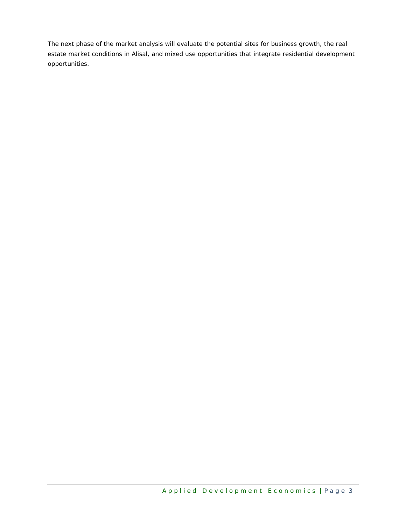The next phase of the market analysis will evaluate the potential sites for business growth, the real estate market conditions in Alisal, and mixed use opportunities that integrate residential development opportunities.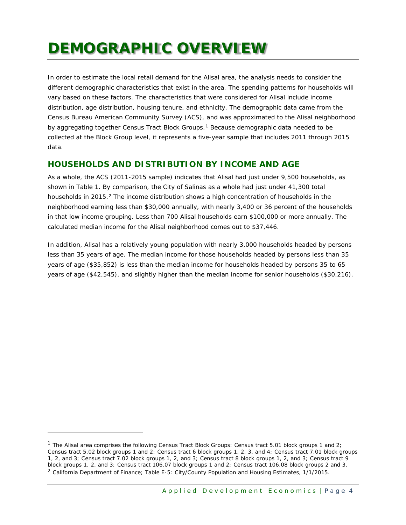## <span id="page-6-0"></span>**DEMOGRAPHIC OVERVIEW**

In order to estimate the local retail demand for the Alisal area, the analysis needs to consider the different demographic characteristics that exist in the area. The spending patterns for households will vary based on these factors. The characteristics that were considered for Alisal include income distribution, age distribution, housing tenure, and ethnicity. The demographic data came from the Census Bureau American Community Survey (ACS), and was approximated to the Alisal neighborhood by aggregating together Census Tract Block Groups.[1](#page-6-1) Because demographic data needed to be collected at the Block Group level, it represents a five-year sample that includes 2011 through 2015 data.

#### **HOUSEHOLDS AND DISTRIBUTION BY INCOME AND AGE**

As a whole, the ACS (2011-2015 sample) indicates that Alisal had just under 9,500 households, as shown in Table 1. By comparison, the City of Salinas as a whole had just under 41,300 total households in [2](#page-6-2)015.<sup>2</sup> The income distribution shows a high concentration of households in the neighborhood earning less than \$30,000 annually, with nearly 3,400 or 36 percent of the households in that low income grouping. Less than 700 Alisal households earn \$100,000 or more annually. The calculated median income for the Alisal neighborhood comes out to \$37,446.

In addition, Alisal has a relatively young population with nearly 3,000 households headed by persons less than 35 years of age. The median income for those households headed by persons less than 35 years of age (\$35,852) is less than the median income for households headed by persons 35 to 65 years of age (\$42,545), and slightly higher than the median income for senior households (\$30,216).

ł

<span id="page-6-2"></span><span id="page-6-1"></span><sup>&</sup>lt;sup>1</sup> The Alisal area comprises the following Census Tract Block Groups: Census tract 5.01 block groups 1 and 2; Census tract 5.02 block groups 1 and 2; Census tract 6 block groups 1, 2, 3, and 4; Census tract 7.01 block groups 1, 2, and 3; Census tract 7.02 block groups 1, 2, and 3; Census tract 8 block groups 1, 2, and 3; Census tract 9 block groups 1, 2, and 3; Census tract 106.07 block groups 1 and 2; Census tract 106.08 block groups 2 and 3. <sup>2</sup> California Department of Finance; Table E-5: City/County Population and Housing Estimates, 1/1/2015.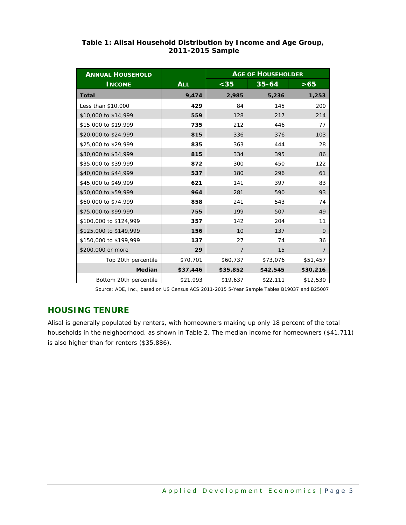| <b>ANNUAL HOUSEHOLD</b> |            | <b>AGE OF HOUSEHOLDER</b> |           |                |  |  |  |
|-------------------------|------------|---------------------------|-----------|----------------|--|--|--|
| <b>INCOME</b>           | <b>ALL</b> | $35$                      | $35 - 64$ | $>65$          |  |  |  |
| <b>Total</b>            | 9,474      | 2,985                     | 5,236     | 1,253          |  |  |  |
| Less than \$10,000      | 429        | 84                        | 145       | 200            |  |  |  |
| \$10,000 to \$14,999    | 559        | 128                       | 217       | 214            |  |  |  |
| \$15,000 to \$19,999    | 735        | 212                       | 446       | 77             |  |  |  |
| \$20,000 to \$24,999    | 815        | 336                       | 376       | 103            |  |  |  |
| \$25,000 to \$29,999    | 835        | 363                       | 444       | 28             |  |  |  |
| \$30,000 to \$34,999    | 815        | 334                       | 395       | 86             |  |  |  |
| \$35,000 to \$39,999    | 872        | 300                       | 450       | 122            |  |  |  |
| \$40,000 to \$44,999    | 537        | 180                       | 296       | 61             |  |  |  |
| \$45,000 to \$49,999    | 621        | 141                       | 397       | 83             |  |  |  |
| \$50,000 to \$59,999    | 964        | 281                       | 590       | 93             |  |  |  |
| \$60,000 to \$74,999    | 858        | 241                       | 543       | 74             |  |  |  |
| \$75,000 to \$99,999    | 755        | 199                       | 507       | 49             |  |  |  |
| \$100,000 to \$124,999  | 357        | 142                       | 204       | 11             |  |  |  |
| \$125,000 to \$149,999  | 156        | 10                        | 137       | 9              |  |  |  |
| \$150,000 to \$199,999  | 137        | 27                        | 74        | 36             |  |  |  |
| \$200,000 or more       | 29         | $\overline{7}$            | 15        | $\overline{7}$ |  |  |  |
| Top 20th percentile     | \$70,701   | \$60,737                  | \$73,076  | \$51,457       |  |  |  |
| Median                  | \$37,446   | \$35,852                  | \$42,545  | \$30,216       |  |  |  |
| Bottom 20th percentile  | \$21,993   | \$19,637                  | \$22,111  | \$12,530       |  |  |  |

#### <span id="page-7-0"></span>**Table 1: Alisal Household Distribution by Income and Age Group, 2011-2015 Sample**

*Source: ADE, Inc., based on US Census ACS 2011-2015 5-Year Sample Tables B19037 and B25007*

### **HOUSING TENURE**

Alisal is generally populated by renters, with homeowners making up only 18 percent of the total households in the neighborhood, as shown in Table 2. The median income for homeowners (\$41,711) is also higher than for renters (\$35,886).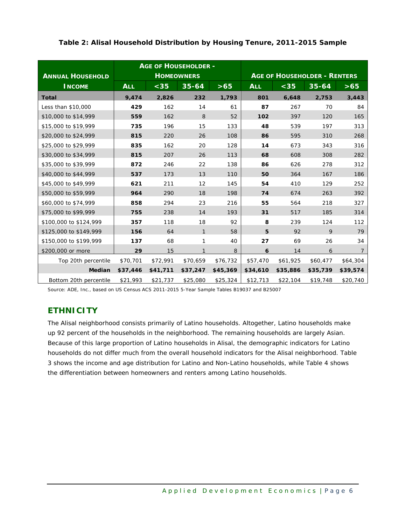| <b>ANNUAL HOUSEHOLD</b> | <b>AGE OF HOUSEHOLDER -</b><br><b>HOMEOWNERS</b> |          |              |          |            | <b>AGE OF HOUSEHOLDER - RENTERS</b> |           |                |
|-------------------------|--------------------------------------------------|----------|--------------|----------|------------|-------------------------------------|-----------|----------------|
| <b>INCOME</b>           | <b>ALL</b>                                       | $35$     | $35 - 64$    | >65      | <b>ALL</b> | $35$                                | $35 - 64$ | >65            |
| <b>Total</b>            | 9,474                                            | 2,826    | 232          | 1,793    | 801        | 6,648                               | 2,753     | 3,443          |
| Less than \$10,000      | 429                                              | 162      | 14           | 61       | 87         | 267                                 | 70        | 84             |
| \$10,000 to \$14,999    | 559                                              | 162      | 8            | 52       | 102        | 397                                 | 120       | 165            |
| \$15,000 to \$19,999    | 735                                              | 196      | 15           | 133      | 48         | 539                                 | 197       | 313            |
| \$20,000 to \$24,999    | 815                                              | 220      | 26           | 108      | 86         | 595                                 | 310       | 268            |
| \$25,000 to \$29,999    | 835                                              | 162      | 20           | 128      | 14         | 673                                 | 343       | 316            |
| \$30,000 to \$34,999    | 815                                              | 207      | 26           | 113      | 68         | 608                                 | 308       | 282            |
| \$35,000 to \$39,999    | 872                                              | 246      | 22           | 138      | 86         | 626                                 | 278       | 312            |
| \$40,000 to \$44,999    | 537                                              | 173      | 13           | 110      | 50         | 364                                 | 167       | 186            |
| \$45,000 to \$49,999    | 621                                              | 211      | 12           | 145      | 54         | 410                                 | 129       | 252            |
| \$50,000 to \$59,999    | 964                                              | 290      | 18           | 198      | 74         | 674                                 | 263       | 392            |
| \$60,000 to \$74,999    | 858                                              | 294      | 23           | 216      | 55         | 564                                 | 218       | 327            |
| \$75,000 to \$99,999    | 755                                              | 238      | 14           | 193      | 31         | 517                                 | 185       | 314            |
| \$100,000 to \$124,999  | 357                                              | 118      | 18           | 92       | 8          | 239                                 | 124       | 112            |
| \$125,000 to \$149,999  | 156                                              | 64       | $\mathbf{1}$ | 58       | 5          | 92                                  | 9         | 79             |
| \$150,000 to \$199,999  | 137                                              | 68       | 1            | 40       | 27         | 69                                  | 26        | 34             |
| \$200,000 or more       | 29                                               | 15       | 1            | 8        | 6          | 14                                  | 6         | $\overline{7}$ |
| Top 20th percentile     | \$70,701                                         | \$72,991 | \$70,659     | \$76,732 | \$57,470   | \$61,925                            | \$60,477  | \$64,304       |
| <b>Median</b>           | \$37,446                                         | \$41,711 | \$37,247     | \$45,369 | \$34,610   | \$35,886                            | \$35,739  | \$39,574       |
| Bottom 20th percentile  | \$21,993                                         | \$21,737 | \$25,080     | \$25,324 | \$12,713   | \$22,104                            | \$19,748  | \$20,740       |

#### <span id="page-8-0"></span>**Table 2: Alisal Household Distribution by Housing Tenure, 2011-2015 Sample**

*Source: ADE, Inc., based on US Census ACS 2011-2015 5-Year Sample Tables B19037 and B25007*

### **ETHNICITY**

The Alisal neighborhood consists primarily of Latino households. Altogether, Latino households make up 92 percent of the households in the neighborhood. The remaining households are largely Asian. Because of this large proportion of Latino households in Alisal, the demographic indicators for Latino households do not differ much from the overall household indicators for the Alisal neighborhood. Table 3 shows the income and age distribution for Latino and Non-Latino households, while Table 4 shows the differentiation between homeowners and renters among Latino households.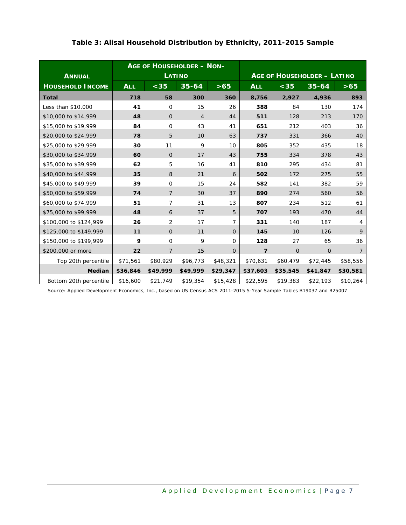<span id="page-9-0"></span>

|                         | <b>AGE OF HOUSEHOLDER - NON-</b> |                |                |                |            |          |                                    |                |
|-------------------------|----------------------------------|----------------|----------------|----------------|------------|----------|------------------------------------|----------------|
| <b>ANNUAL</b>           |                                  |                | <b>LATINO</b>  |                |            |          | <b>AGE OF HOUSEHOLDER - LATINO</b> |                |
| <b>HOUSEHOLD INCOME</b> | <b>ALL</b>                       | $<$ 35         | $35 - 64$      | >65            | <b>ALL</b> | $35$     | $35 - 64$                          | >65            |
| <b>Total</b>            | 718                              | 58             | 300            | 360            | 8,756      | 2,927    | 4,936                              | 893            |
| Less than \$10,000      | 41                               | $\mathbf 0$    | 15             | 26             | 388        | 84       | 130                                | 174            |
| \$10,000 to \$14,999    | 48                               | $\overline{O}$ | $\overline{4}$ | 44             | 511        | 128      | 213                                | 170            |
| \$15,000 to \$19,999    | 84                               | $\mathbf 0$    | 43             | 41             | 651        | 212      | 403                                | 36             |
| \$20,000 to \$24,999    | 78                               | 5              | 10             | 63             | 737        | 331      | 366                                | 40             |
| \$25,000 to \$29,999    | 30                               | 11             | 9              | 10             | 805        | 352      | 435                                | 18             |
| \$30,000 to \$34,999    | 60                               | $\mathbf{O}$   | 17             | 43             | 755        | 334      | 378                                | 43             |
| \$35,000 to \$39,999    | 62                               | 5              | 16             | 41             | 810        | 295      | 434                                | 81             |
| \$40,000 to \$44,999    | 35                               | 8              | 21             | 6              | 502        | 172      | 275                                | 55             |
| \$45,000 to \$49,999    | 39                               | $\mathbf 0$    | 15             | 24             | 582        | 141      | 382                                | 59             |
| \$50,000 to \$59,999    | 74                               | $\overline{7}$ | 30             | 37             | 890        | 274      | 560                                | 56             |
| \$60,000 to \$74,999    | 51                               | 7              | 31             | 13             | 807        | 234      | 512                                | 61             |
| \$75,000 to \$99,999    | 48                               | 6              | 37             | 5              | 707        | 193      | 470                                | 44             |
| \$100,000 to \$124,999  | 26                               | 2              | 17             | $\overline{7}$ | 331        | 140      | 187                                | $\overline{4}$ |
| \$125,000 to \$149,999  | 11                               | $\Omega$       | 11             | $\Omega$       | 145        | 10       | 126                                | 9              |
| \$150,000 to \$199,999  | 9                                | $\mathbf{O}$   | 9              | $\Omega$       | 128        | 27       | 65                                 | 36             |
| \$200,000 or more       | 22                               | 7              | 15             | $\overline{O}$ | 7          | $\Omega$ | $\mathbf{O}$                       | $\overline{7}$ |
| Top 20th percentile     | \$71,561                         | \$80,929       | \$96,773       | \$48,321       | \$70,631   | \$60,479 | \$72,445                           | \$58,556       |
| <b>Median</b>           | \$36,846                         | \$49,999       | \$49,999       | \$29,347       | \$37,603   | \$35,545 | \$41,847                           | \$30,581       |
| Bottom 20th percentile  | \$16,600                         | \$21,749       | \$19,354       | \$15,428       | \$22,595   | \$19,383 | \$22,193                           | \$10,264       |

#### **Table 3: Alisal Household Distribution by Ethnicity, 2011-2015 Sample**

*Source: Applied Development Economics, Inc., based on US Census ACS 2011-2015 5-Year Sample Tables B19037 and B25007*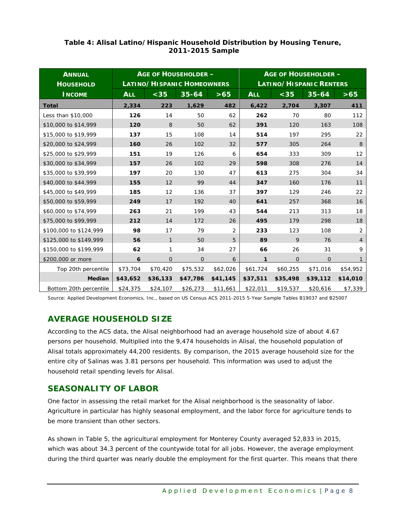| <b>ANNUAL</b><br><b>HOUSEHOLD</b> | <b>AGE OF HOUSEHOLDER -</b><br>LATINO/HISPANIC HOMEOWNERS |              |                |          |            | <b>AGE OF HOUSEHOLDER -</b><br><b>LATINO/HISPANIC RENTERS</b> |                |                |
|-----------------------------------|-----------------------------------------------------------|--------------|----------------|----------|------------|---------------------------------------------------------------|----------------|----------------|
| <b>INCOME</b>                     | <b>ALL</b>                                                | $<$ 35       | $35 - 64$      | $>65$    | <b>ALL</b> | $35$                                                          | $35 - 64$      | $>65$          |
| <b>Total</b>                      | 2,334                                                     | 223          | 1,629          | 482      | 6,422      | 2,704                                                         | 3,307          | 411            |
| Less than \$10,000                | 126                                                       | 14           | 50             | 62       | 262        | 70                                                            | 80             | 112            |
| \$10,000 to \$14,999              | 120                                                       | 8            | 50             | 62       | 391        | 120                                                           | 163            | 108            |
| \$15,000 to \$19,999              | 137                                                       | 15           | 108            | 14       | 514        | 197                                                           | 295            | 22             |
| \$20,000 to \$24,999              | 160                                                       | 26           | 102            | 32       | 577        | 305                                                           | 264            | 8              |
| \$25,000 to \$29,999              | 151                                                       | 19           | 126            | 6        | 654        | 333                                                           | 309            | 12             |
| \$30,000 to \$34,999              | 157                                                       | 26           | 102            | 29       | 598        | 308                                                           | 276            | 14             |
| \$35,000 to \$39,999              | 197                                                       | 20           | 130            | 47       | 613        | 275                                                           | 304            | 34             |
| \$40,000 to \$44,999              | 155                                                       | 12           | 99             | 44       | 347        | 160                                                           | 176            | 11             |
| \$45,000 to \$49,999              | 185                                                       | 12           | 136            | 37       | 397        | 129                                                           | 246            | 22             |
| \$50,000 to \$59,999              | 249                                                       | 17           | 192            | 40       | 641        | 257                                                           | 368            | 16             |
| \$60,000 to \$74,999              | 263                                                       | 21           | 199            | 43       | 544        | 213                                                           | 313            | 18             |
| \$75,000 to \$99,999              | 212                                                       | 14           | 172            | 26       | 495        | 179                                                           | 298            | 18             |
| \$100,000 to \$124,999            | 98                                                        | 17           | 79             | 2        | 233        | 123                                                           | 108            | 2              |
| \$125,000 to \$149,999            | 56                                                        | $\mathbf{1}$ | 50             | 5        | 89         | 9                                                             | 76             | $\overline{4}$ |
| \$150,000 to \$199,999            | 62                                                        | 1            | 34             | 27       | 66         | 26                                                            | 31             | 9              |
| \$200,000 or more                 | 6                                                         | $\Omega$     | $\overline{O}$ | 6        | 1          | $\Omega$                                                      | $\overline{O}$ | 1              |
| Top 20th percentile               | \$73,704                                                  | \$70,420     | \$75,532       | \$62,026 | \$61,724   | \$60,255                                                      | \$71,016       | \$54,952       |
| <b>Median</b>                     | \$43,652                                                  | \$36,133     | \$47,786       | \$41,145 | \$37,511   | \$35,498                                                      | \$39,112       | \$14,010       |
| Bottom 20th percentile            | \$24,375                                                  | \$24,107     | \$26,273       | \$11,661 | \$22,011   | \$19,537                                                      | \$20,616       | \$7,339        |

#### <span id="page-10-0"></span>**Table 4: Alisal Latino/Hispanic Household Distribution by Housing Tenure, 2011-2015 Sample**

*Source: Applied Development Economics, Inc., based on US Census ACS 2011-2015 5-Year Sample Tables B19037 and B25007*

### **AVERAGE HOUSEHOLD SIZE**

According to the ACS data, the Alisal neighborhood had an average household size of about 4.67 persons per household. Multiplied into the 9,474 households in Alisal, the household population of Alisal totals approximately 44,200 residents. By comparison, the 2015 average household size for the entire city of Salinas was 3.81 persons per household. This information was used to adjust the household retail spending levels for Alisal.

#### **SEASONALITY OF LABOR**

One factor in assessing the retail market for the Alisal neighborhood is the seasonality of labor. Agriculture in particular has highly seasonal employment, and the labor force for agriculture tends to be more transient than other sectors.

As shown in Table 5, the agricultural employment for Monterey County averaged 52,833 in 2015, which was about 34.3 percent of the countywide total for all jobs. However, the average employment during the third quarter was nearly double the employment for the first quarter. This means that there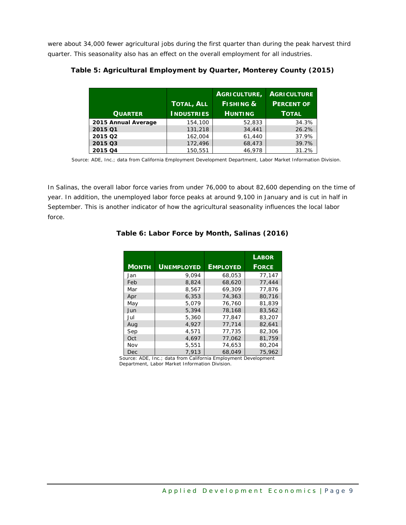were about 34,000 fewer agricultural jobs during the first quarter than during the peak harvest third quarter. This seasonality also has an effect on the overall employment for all industries.

|                     |                   | AGRICULTURE,         | <b>AGRICULTURE</b> |
|---------------------|-------------------|----------------------|--------------------|
|                     | <b>TOTAL, ALL</b> | <b>FISHING &amp;</b> | <b>PERCENT OF</b>  |
| <b>QUARTER</b>      | <b>INDUSTRIES</b> | <b>HUNTING</b>       | <b>TOTAL</b>       |
| 2015 Annual Average | 154,100           | 52,833               | 34.3%              |
| 2015 01             | 131,218           | 34,441               | 26.2%              |
| 2015 Q2             | 162,004           | 61,440               | 37.9%              |
| 2015 Q3             | 172,496           | 68,473               | 39.7%              |
| 2015 Q4             | 150.551           | 46.978               | 31.2%              |

<span id="page-11-0"></span>**Table 5: Agricultural Employment by Quarter, Monterey County (2015)**

*Source: ADE, Inc.; data from California Employment Development Department, Labor Market Information Division.*

<span id="page-11-1"></span>In Salinas, the overall labor force varies from under 76,000 to about 82,600 depending on the time of year. In addition, the unemployed labor force peaks at around 9,100 in January and is cut in half in September. This is another indicator of how the agricultural seasonality influences the local labor force.

|              |                   |                 | <b>LABOR</b> |
|--------------|-------------------|-----------------|--------------|
| <b>MONTH</b> | <b>UNEMPLOYED</b> | <b>EMPLOYED</b> | <b>FORCE</b> |
| Jan          | 9.094             | 68,053          | 77.147       |
| Feb          | 8,824             | 68,620          | 77,444       |
| Mar          | 8,567             | 69,309          | 77,876       |
| Apr          | 6,353             | 74,363          | 80,716       |
| May          | 5,079             | 76,760          | 81,839       |
| Jun          | 5,394             | 78,168          | 83,562       |
| Jul          | 5,360             | 77,847          | 83,207       |
| Aug          | 4,927             | 77,714          | 82,641       |
| Sep          | 4,571             | 77,735          | 82,306       |
| Oct          | 4.697             | 77,062          | 81,759       |
| Nov          | 5,551             | 74,653          | 80,204       |
| Dec          | 7.913             | 68,049          | 75,962       |

#### **Table 6: Labor Force by Month, Salinas (2016)**

*Source: ADE, Inc.; data from California Employment Development Department, Labor Market Information Division.*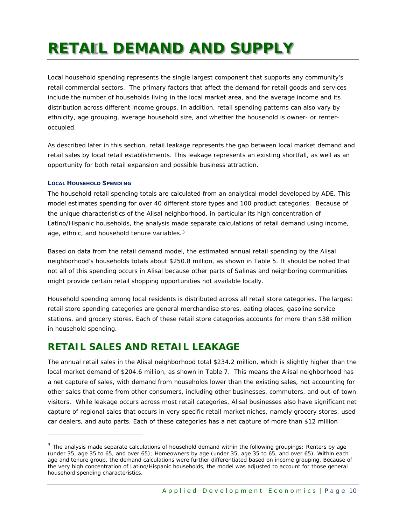## <span id="page-12-0"></span>**RETAIL DEMAND AND SUPPLY**

Local household spending represents the single largest component that supports any community's retail commercial sectors. The primary factors that affect the demand for retail goods and services include the number of households living in the local market area, and the average income and its distribution across different income groups. In addition, retail spending patterns can also vary by ethnicity, age grouping, average household size, and whether the household is owner- or renteroccupied.

As described later in this section, retail leakage represents the gap between local market demand and retail sales by local retail establishments. This leakage represents an existing shortfall, as well as an opportunity for both retail expansion and possible business attraction.

#### **LOCAL HOUSEHOLD SPENDING**

ł

The household retail spending totals are calculated from an analytical model developed by ADE. This model estimates spending for over 40 different store types and 100 product categories. Because of the unique characteristics of the Alisal neighborhood, in particular its high concentration of Latino/Hispanic households, the analysis made separate calculations of retail demand using income, age, ethnic, and household tenure variables.<sup>[3](#page-12-1)</sup>

Based on data from the retail demand model, the estimated annual retail spending by the Alisal neighborhood's households totals about \$250.8 million, as shown in Table 5. It should be noted that not all of this spending occurs in Alisal because other parts of Salinas and neighboring communities might provide certain retail shopping opportunities not available locally.

Household spending among local residents is distributed across all retail store categories. The largest retail store spending categories are general merchandise stores, eating places, gasoline service stations, and grocery stores. Each of these retail store categories accounts for more than \$38 million in household spending.

## **RETAIL SALES AND RETAIL LEAKAGE**

The annual retail sales in the Alisal neighborhood total \$234.2 million, which is slightly higher than the local market demand of \$204.6 million, as shown in Table 7. This means the Alisal neighborhood has a net capture of sales, with demand from households lower than the existing sales, not accounting for other sales that come from other consumers, including other businesses, commuters, and out-of-town visitors. While leakage occurs across most retail categories, Alisal businesses also have significant net capture of regional sales that occurs in very specific retail market niches, namely grocery stores, used car dealers, and auto parts. Each of these categories has a net capture of more than \$12 million

<span id="page-12-1"></span> $3$  The analysis made separate calculations of household demand within the following groupings: Renters by age (under 35, age 35 to 65, and over 65); Homeowners by age (under 35, age 35 to 65, and over 65). Within each age and tenure group, the demand calculations were further differentiated based on income grouping. Because of the very high concentration of Latino/Hispanic households, the model was adjusted to account for those general household spending characteristics.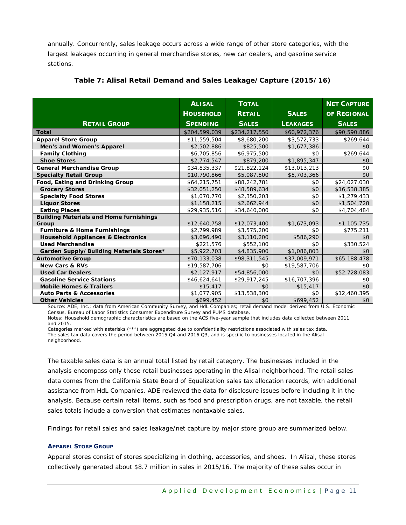annually. Concurrently, sales leakage occurs across a wide range of other store categories, with the largest leakages occurring in general merchandise stores, new car dealers, and gasoline service stations.

|                                                | <b>ALISAL</b>    | <b>TOTAL</b>  |                 | <b>NET CAPTURE</b> |
|------------------------------------------------|------------------|---------------|-----------------|--------------------|
|                                                | <b>HOUSEHOLD</b> | <b>RETAIL</b> | <b>SALES</b>    | OF REGIONAL        |
| <b>RETAIL GROUP</b>                            | <b>SPENDING</b>  | <b>SALES</b>  | <b>LEAKAGES</b> | <b>SALES</b>       |
| <b>Total</b>                                   | \$204,599,039    | \$234,217,550 | \$60,972,376    | \$90,590,886       |
| <b>Apparel Store Group</b>                     | \$11,559,504     | \$8,680,200   | \$3,572,733     | \$269,644          |
| Men's and Women's Apparel                      | \$2,502,886      | \$825,500     | \$1,677,386     | \$0                |
| <b>Family Clothing</b>                         | \$6,705,856      | \$6,975,500   | \$0             | \$269,644          |
| <b>Shoe Stores</b>                             | \$2,774,547      | \$879,200     | \$1,895,347     | \$0                |
| <b>General Merchandise Group</b>               | \$34,835,337     | \$21,822,124  | \$13,013,213    | \$0                |
| <b>Specialty Retail Group</b>                  | \$10,790,866     | \$5,087,500   | \$5,703,366     | \$0                |
| Food, Eating and Drinking Group                | \$64,215,751     | \$88,242,781  | \$0             | \$24,027,030       |
| <b>Grocery Stores</b>                          | \$32,051,250     | \$48,589,634  | \$0             | \$16,538,385       |
| <b>Specialty Food Stores</b>                   | \$1,070,770      | \$2,350,203   | \$0             | \$1,279,433        |
| <b>Liquor Stores</b>                           | \$1,158,215      | \$2,662,944   | \$0             | \$1,504,728        |
| <b>Eating Places</b>                           | \$29,935,516     | \$34,640,000  | \$0             | \$4,704,484        |
| <b>Building Materials and Home furnishings</b> |                  |               |                 |                    |
| Group                                          | \$12,640,758     | \$12,073,400  | \$1,673,093     | \$1,105,735        |
| <b>Furniture &amp; Home Furnishings</b>        | \$2,799,989      | \$3,575,200   | \$0             | \$775,211          |
| <b>Household Appliances &amp; Electronics</b>  | \$3,696,490      | \$3,110,200   | \$586,290       | \$0                |
| <b>Used Merchandise</b>                        | \$221,576        | \$552,100     | \$0             | \$330,524          |
| Garden Supply/Building Materials Stores*       | \$5,922,703      | \$4,835,900   | \$1,086,803     | \$0                |
| <b>Automotive Group</b>                        | \$70,133,038     | \$98,311,545  | \$37,009,971    | \$65,188,478       |
| <b>New Cars &amp; RVs</b>                      | \$19,587,706     | \$0           | \$19,587,706    | \$0                |
| <b>Used Car Dealers</b>                        | \$2,127,917      | \$54,856,000  | \$0             | \$52,728,083       |
| <b>Gasoline Service Stations</b>               | \$46,624,641     | \$29,917,245  | \$16,707,396    | \$0                |
| <b>Mobile Homes &amp; Trailers</b>             | \$15,417         | \$0           | \$15,417        | \$0                |
| <b>Auto Parts &amp; Accessories</b>            | \$1,077,905      | \$13,538,300  | \$0             | \$12,460,395       |
| <b>Other Vehicles</b>                          | \$699,452        | \$0           | \$699,452       | \$0                |

#### <span id="page-13-0"></span>**Table 7: Alisal Retail Demand and Sales Leakage/Capture (2015/16)**

*Source: ADE, Inc.; data from American Community Survey, and HdL Companies; retail demand model derived from U.S. Economic Census, Bureau of Labor Statistics Consumer Expenditure Survey and PUMS database.*

*Notes: Household demographic characteristics are based on the ACS five-year sample that includes data collected between 2011 and 2015.* 

*Categories marked with asterisks ("\*") are aggregated due to confidentiality restrictions associated with sales tax data. The sales tax data covers the period between 2015 Q4 and 2016 Q3, and is specific to businesses located in the Alisal neighborhood.*

The taxable sales data is an annual total listed by retail category. The businesses included in the analysis encompass only those retail businesses operating in the Alisal neighborhood. The retail sales data comes from the California State Board of Equalization sales tax allocation records, with additional assistance from HdL Companies. ADE reviewed the data for disclosure issues before including it in the analysis. Because certain retail items, such as food and prescription drugs, are not taxable, the retail sales totals include a conversion that estimates nontaxable sales.

Findings for retail sales and sales leakage/net capture by major store group are summarized below.

#### **APPAREL STORE GROUP**

Apparel stores consist of stores specializing in clothing, accessories, and shoes. In Alisal, these stores collectively generated about \$8.7 million in sales in 2015/16. The majority of these sales occur in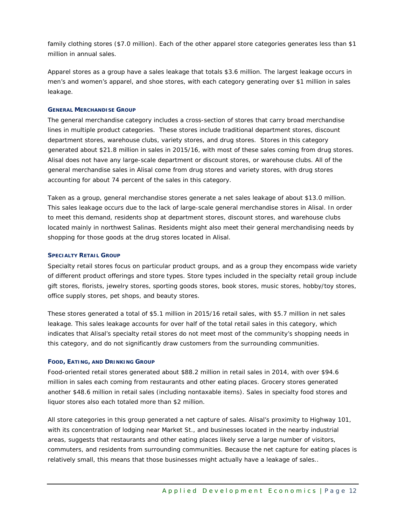family clothing stores (\$7.0 million). Each of the other apparel store categories generates less than \$1 million in annual sales.

Apparel stores as a group have a sales leakage that totals \$3.6 million. The largest leakage occurs in men's and women's apparel, and shoe stores, with each category generating over \$1 million in sales leakage.

#### **GENERAL MERCHANDISE GROUP**

The general merchandise category includes a cross-section of stores that carry broad merchandise lines in multiple product categories. These stores include traditional department stores, discount department stores, warehouse clubs, variety stores, and drug stores. Stores in this category generated about \$21.8 million in sales in 2015/16, with most of these sales coming from drug stores. Alisal does not have any large-scale department or discount stores, or warehouse clubs. All of the general merchandise sales in Alisal come from drug stores and variety stores, with drug stores accounting for about 74 percent of the sales in this category.

Taken as a group, general merchandise stores generate a net sales leakage of about \$13.0 million. This sales leakage occurs due to the lack of large-scale general merchandise stores in Alisal. In order to meet this demand, residents shop at department stores, discount stores, and warehouse clubs located mainly in northwest Salinas. Residents might also meet their general merchandising needs by shopping for those goods at the drug stores located in Alisal.

#### **SPECIALTY RETAIL GROUP**

Specialty retail stores focus on particular product groups, and as a group they encompass wide variety of different product offerings and store types. Store types included in the specialty retail group include gift stores, florists, jewelry stores, sporting goods stores, book stores, music stores, hobby/toy stores, office supply stores, pet shops, and beauty stores.

These stores generated a total of \$5.1 million in 2015/16 retail sales, with \$5.7 million in net sales leakage. This sales leakage accounts for over half of the total retail sales in this category, which indicates that Alisal's specialty retail stores do not meet most of the community's shopping needs in this category, and do not significantly draw customers from the surrounding communities.

#### **FOOD, EATING, AND DRINKING GROUP**

Food-oriented retail stores generated about \$88.2 million in retail sales in 2014, with over \$94.6 million in sales each coming from restaurants and other eating places. Grocery stores generated another \$48.6 million in retail sales (including nontaxable items). Sales in specialty food stores and liquor stores also each totaled more than \$2 million.

All store categories in this group generated a net capture of sales. Alisal's proximity to Highway 101, with its concentration of lodging near Market St., and businesses located in the nearby industrial areas, suggests that restaurants and other eating places likely serve a large number of visitors, commuters, and residents from surrounding communities. Because the net capture for eating places is relatively small, this means that those businesses might actually have a leakage of sales..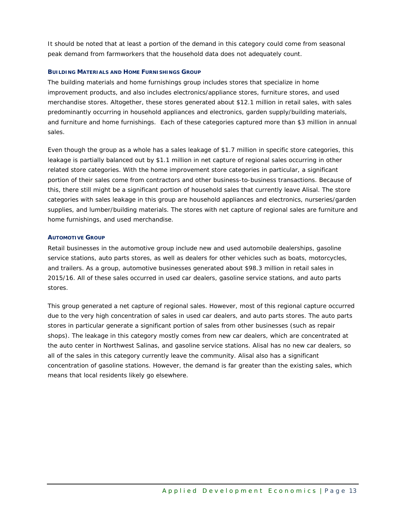It should be noted that at least a portion of the demand in this category could come from seasonal peak demand from farmworkers that the household data does not adequately count.

#### **BUILDING MATERIALS AND HOME FURNISHINGS GROUP**

The building materials and home furnishings group includes stores that specialize in home improvement products, and also includes electronics/appliance stores, furniture stores, and used merchandise stores. Altogether, these stores generated about \$12.1 million in retail sales, with sales predominantly occurring in household appliances and electronics, garden supply/building materials, and furniture and home furnishings. Each of these categories captured more than \$3 million in annual sales.

Even though the group as a whole has a sales leakage of \$1.7 million in specific store categories, this leakage is partially balanced out by \$1.1 million in net capture of regional sales occurring in other related store categories. With the home improvement store categories in particular, a significant portion of their sales come from contractors and other business-to-business transactions. Because of this, there still might be a significant portion of household sales that currently leave Alisal. The store categories with sales leakage in this group are household appliances and electronics, nurseries/garden supplies, and lumber/building materials. The stores with net capture of regional sales are furniture and home furnishings, and used merchandise.

#### **AUTOMOTIVE GROUP**

Retail businesses in the automotive group include new and used automobile dealerships, gasoline service stations, auto parts stores, as well as dealers for other vehicles such as boats, motorcycles, and trailers. As a group, automotive businesses generated about \$98.3 million in retail sales in 2015/16. All of these sales occurred in used car dealers, gasoline service stations, and auto parts stores.

This group generated a net capture of regional sales. However, most of this regional capture occurred due to the very high concentration of sales in used car dealers, and auto parts stores. The auto parts stores in particular generate a significant portion of sales from other businesses (such as repair shops). The leakage in this category mostly comes from new car dealers, which are concentrated at the auto center in Northwest Salinas, and gasoline service stations. Alisal has no new car dealers, so all of the sales in this category currently leave the community. Alisal also has a significant concentration of gasoline stations. However, the demand is far greater than the existing sales, which means that local residents likely go elsewhere.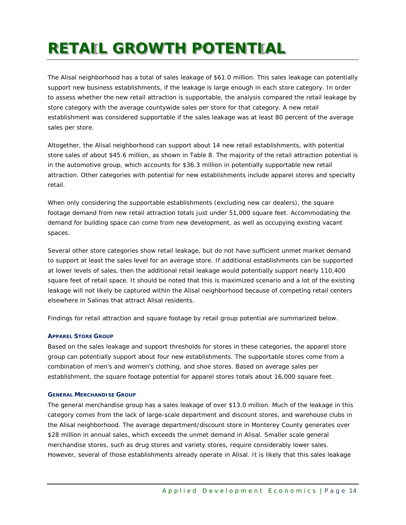## <span id="page-16-0"></span>**RETAIL GROWTH POTENTIAL**

The Alisal neighborhood has a total of sales leakage of \$61.0 million. This sales leakage can potentially support new business establishments, if the leakage is large enough in each store category. In order to assess whether the new retail attraction is supportable, the analysis compared the retail leakage by store category with the average countywide sales per store for that category. A new retail establishment was considered supportable if the sales leakage was at least 80 percent of the average sales per store.

Altogether, the Alisal neighborhood can support about 14 new retail establishments, with potential store sales of about \$45.6 million, as shown in Table 8. The majority of the retail attraction potential is in the automotive group, which accounts for \$36.3 million in potentially supportable new retail attraction. Other categories with potential for new establishments include apparel stores and specialty retail.

When only considering the supportable establishments (excluding new car dealers), the square footage demand from new retail attraction totals just under 51,000 square feet. Accommodating the demand for building space can come from new development, as well as occupying existing vacant spaces.

Several other store categories show retail leakage, but do not have sufficient unmet market demand to support at least the sales level for an average store. If additional establishments can be supported at lower levels of sales, then the additional retail leakage would potentially support nearly 110,400 square feet of retail space. It should be noted that this is maximized scenario and a lot of the existing leakage will not likely be captured within the Alisal neighborhood because of competing retail centers elsewhere in Salinas that attract Alisal residents.

Findings for retail attraction and square footage by retail group potential are summarized below.

#### **APPAREL STORE GROUP**

Based on the sales leakage and support thresholds for stores in these categories, the apparel store group can potentially support about four new establishments. The supportable stores come from a combination of men's and women's clothing, and shoe stores. Based on average sales per establishment, the square footage potential for apparel stores totals about 16,000 square feet.

#### **GENERAL MERCHANDISE GROUP**

The general merchandise group has a sales leakage of over \$13.0 million. Much of the leakage in this category comes from the lack of large-scale department and discount stores, and warehouse clubs in the Alisal neighborhood. The average department/discount store in Monterey County generates over \$28 million in annual sales, which exceeds the unmet demand in Alisal. Smaller scale general merchandise stores, such as drug stores and variety stores, require considerably lower sales. However, several of those establishments already operate in Alisal. It is likely that this sales leakage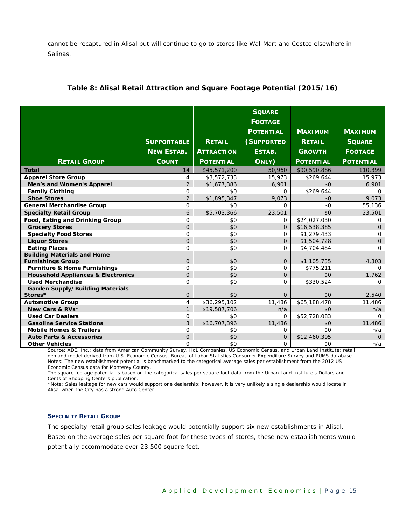cannot be recaptured in Alisal but will continue to go to stores like Wal-Mart and Costco elsewhere in Salinas.

|                                               |                    |                   | <b>SQUARE</b><br><b>FOOTAGE</b> |                  |                  |
|-----------------------------------------------|--------------------|-------------------|---------------------------------|------------------|------------------|
|                                               |                    |                   |                                 |                  |                  |
|                                               |                    |                   | <b>POTENTIAL</b>                | <b>MAXIMUM</b>   | <b>MAXIMUM</b>   |
|                                               | <b>SUPPORTABLE</b> | <b>RETAIL</b>     | (SUPPORTED                      | <b>RETAIL</b>    | <b>SQUARE</b>    |
|                                               | <b>NEW ESTAB.</b>  | <b>ATTRACTION</b> | ESTAB.                          | <b>GROWTH</b>    | <b>FOOTAGE</b>   |
| <b>RETAIL GROUP</b>                           | <b>COUNT</b>       | <b>POTENTIAL</b>  | ONLY)                           | <b>POTENTIAL</b> | <b>POTENTIAL</b> |
| <b>Total</b>                                  | 14                 | \$45,571,200      | 50,960                          | \$90,590,886     | 110,399          |
| <b>Apparel Store Group</b>                    | 4                  | \$3,572,733       | 15,973                          | \$269,644        | 15,973           |
| Men's and Women's Apparel                     | 2                  | \$1,677,386       | 6,901                           | \$0              | 6,901            |
| <b>Family Clothing</b>                        | $\mathbf{O}$       | \$0               | $\Omega$                        | \$269,644        | $\Omega$         |
| <b>Shoe Stores</b>                            | 2                  | \$1,895,347       | 9,073                           | \$0              | 9,073            |
| <b>General Merchandise Group</b>              | $\Omega$           | \$0               | 0                               | \$0              | 55,136           |
| <b>Specialty Retail Group</b>                 | 6                  | \$5,703,366       | 23,501                          | \$0              | 23,501           |
| Food, Eating and Drinking Group               | $\mathbf 0$        | \$0               | 0                               | \$24,027,030     | $\Omega$         |
| <b>Grocery Stores</b>                         | $\Omega$           | \$0               | $\Omega$                        | \$16,538,385     | $\Omega$         |
| <b>Specialty Food Stores</b>                  | $\mathbf{O}$       | \$0               | $\mathsf{O}$                    | \$1,279,433      | $\Omega$         |
| <b>Liquor Stores</b>                          | $\Omega$           | \$0               | $\overline{O}$                  | \$1,504,728      | $\overline{O}$   |
| <b>Eating Places</b>                          | 0                  | \$0               | 0                               | \$4,704,484      | 0                |
| <b>Building Materials and Home</b>            |                    |                   |                                 |                  |                  |
| <b>Furnishings Group</b>                      | $\overline{O}$     | \$0               | $\mathbf 0$                     | \$1,105,735      | 4,303            |
| <b>Furniture &amp; Home Furnishings</b>       | $\mathbf{O}$       | \$0               | 0                               | \$775,211        | $\Omega$         |
| <b>Household Appliances &amp; Electronics</b> | $\Omega$           | \$0               | $\overline{O}$                  | \$0              | 1,762            |
| <b>Used Merchandise</b>                       | $\mathbf{O}$       | \$0               | 0                               | \$330,524        | $\Omega$         |
| <b>Garden Supply/Building Materials</b>       |                    |                   |                                 |                  |                  |
| Stores*                                       | $\overline{O}$     | \$0               | $\Omega$                        | \$0              | 2,540            |
| <b>Automotive Group</b>                       | 4                  | \$36,295,102      | 11,486                          | \$65,188,478     | 11,486           |
| New Cars & RVs*                               | $\mathbf{1}$       | \$19,587,706      | n/a                             | \$0              | n/a              |
| <b>Used Car Dealers</b>                       | $\mathbf{O}$       | \$0               | $\Omega$                        | \$52,728,083     | $\Omega$         |
| <b>Gasoline Service Stations</b>              | 3                  | \$16,707,396      | 11,486                          | \$0              | 11,486           |
| <b>Mobile Homes &amp; Trailers</b>            | $\Omega$           | \$0               | 0                               | \$0              | n/a              |
| <b>Auto Parts &amp; Accessories</b>           | $\mathbf 0$        | \$0               | $\mathbf 0$                     | \$12,460,395     | $\Omega$         |
| <b>Other Vehicles</b>                         | $\mathbf{O}$       | \$0               | $\mathsf{O}$                    | \$0              | n/a              |

#### <span id="page-17-0"></span>**Table 8: Alisal Retail Attraction and Square Footage Potential (2015/16)**

*Source: ADE, Inc.; data from American Community Survey, HdL Companies, US Economic Census, and Urban Land Institute; retail demand model derived from U.S. Economic Census, Bureau of Labor Statistics Consumer Expenditure Survey and PUMS database. Notes: The new establishment potential is benchmarked to the categorical average sales per establishment from the 2012 US Economic Census data for Monterey County.*

*The square footage potential is based on the categorical sales per square foot data from the Urban Land Institute's Dollars and Cents of Shopping Centers publication.*

*\*Note: Sales leakage for new cars would support one dealership; however, it is very unlikely a single dealership would locate in Alisal when the City has a strong Auto Center.*

#### **SPECIALTY RETAIL GROUP**

The specialty retail group sales leakage would potentially support six new establishments in Alisal.

Based on the average sales per square foot for these types of stores, these new establishments would potentially accommodate over 23,500 square feet.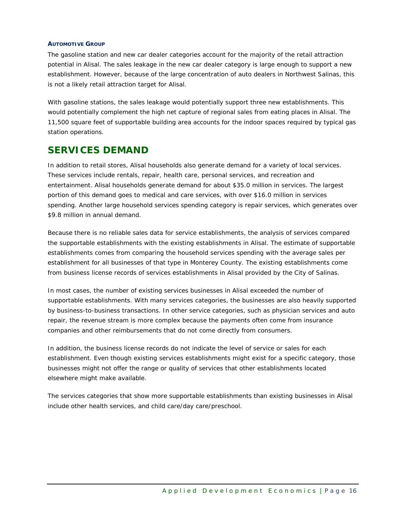#### **AUTOMOTIVE GROUP**

The gasoline station and new car dealer categories account for the majority of the retail attraction potential in Alisal. The sales leakage in the new car dealer category is large enough to support a new establishment. However, because of the large concentration of auto dealers in Northwest Salinas, this is not a likely retail attraction target for Alisal.

With gasoline stations, the sales leakage would potentially support three new establishments. This would potentially complement the high net capture of regional sales from eating places in Alisal. The 11,500 square feet of supportable building area accounts for the indoor spaces required by typical gas station operations.

### **SERVICES DEMAND**

In addition to retail stores, Alisal households also generate demand for a variety of local services. These services include rentals, repair, health care, personal services, and recreation and entertainment. Alisal households generate demand for about \$35.0 million in services. The largest portion of this demand goes to medical and care services, with over \$16.0 million in services spending. Another large household services spending category is repair services, which generates over \$9.8 million in annual demand.

Because there is no reliable sales data for service establishments, the analysis of services compared the supportable establishments with the existing establishments in Alisal. The estimate of supportable establishments comes from comparing the household services spending with the average sales per establishment for all businesses of that type in Monterey County. The existing establishments come from business license records of services establishments in Alisal provided by the City of Salinas.

In most cases, the number of existing services businesses in Alisal exceeded the number of supportable establishments. With many services categories, the businesses are also heavily supported by business-to-business transactions. In other service categories, such as physician services and auto repair, the revenue stream is more complex because the payments often come from insurance companies and other reimbursements that do not come directly from consumers.

In addition, the business license records do not indicate the level of service or sales for each establishment. Even though existing services establishments might exist for a specific category, those businesses might not offer the range or quality of services that other establishments located elsewhere might make available.

The services categories that show more supportable establishments than existing businesses in Alisal include other health services, and child care/day care/preschool.